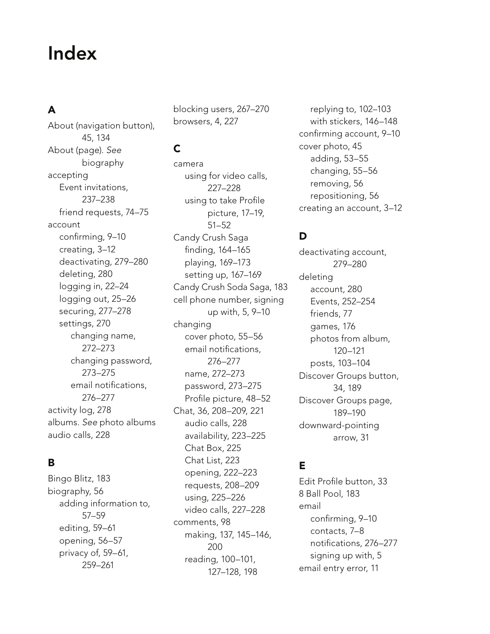# Index

# A

About (navigation button), 45, 134 About (page). See biography accepting Event invitations, 237–238 friend requests, 74–75 account confirming, 9–10 creating, 3–12 deactivating, 279–280 deleting, 280 logging in, 22–24 logging out, 25–26 securing, 277–278 settings, 270 changing name, 272–273 changing password, 273–275 email notifications, 276–277 activity log, 278 albums. See photo albums audio calls, 228

# B

Bingo Blitz, 183 biography, 56 adding information to, 57–59 editing, 59–61 opening, 56–57 privacy of, 59–61, 259–261

blocking users, 267–270 browsers, 4, 227

# C

camera using for video calls, 227–228 using to take Profile picture, 17–19, 51–52 Candy Crush Saga finding, 164–165 playing, 169–173 setting up, 167–169 Candy Crush Soda Saga, 183 cell phone number, signing up with, 5, 9–10 changing cover photo, 55–56 email notifications, 276–277 name, 272–273 password, 273–275 Profile picture, 48–52 Chat, 36, 208–209, 221 audio calls, 228 availability, 223–225 Chat Box, 225 Chat List, 223 opening, 222–223 requests, 208–209 using, 225–226 video calls, 227–228 comments, 98 making, 137, 145–146, 200 reading, 100–101, 127–128, 198

replying to, 102–103 with stickers, 146–148 confirming account, 9–10 cover photo, 45 adding, 53–55 changing, 55–56 removing, 56 repositioning, 56 creating an account, 3–12

#### D

deactivating account, 279–280 deleting account, 280 Events, 252–254 friends, 77 games, 176 photos from album, 120–121 posts, 103–104 Discover Groups button, 34, 189 Discover Groups page, 189–190 downward-pointing arrow, 31

#### E

Edit Profile button, 33 8 Ball Pool, 183 email confirming, 9–10 contacts, 7–8 notifications, 276–277 signing up with, 5 email entry error, 11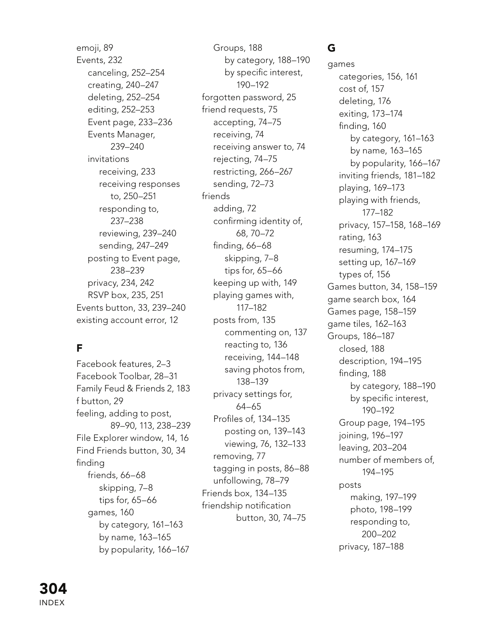emoji, 89 Events, 232 canceling, 252–254 creating, 240–247 deleting, 252–254 editing, 252–253 Event page, 233–236 Events Manager, 239–240 invitations receiving, 233 receiving responses to, 250–251 responding to, 237–238 reviewing, 239–240 sending, 247–249 posting to Event page, 238–239 privacy, 234, 242 RSVP box, 235, 251 Events button, 33, 239–240 existing account error, 12

# F

Facebook features, 2–3 Facebook Toolbar, 28–31 Family Feud & Friends 2, 183 f button, 29 feeling, adding to post, 89–90, 113, 238–239 File Explorer window, 14, 16 Find Friends button, 30, 34 finding friends, 66–68 skipping, 7–8 tips for, 65–66 games, 160 by category, 161–163 by name, 163–165 by popularity, 166–167

Groups, 188 by category, 188–190 by specific interest, 190–192 forgotten password, 25 friend requests, 75 accepting, 74–75 receiving, 74 receiving answer to, 74 rejecting, 74–75 restricting, 266–267 sending, 72–73 friends adding, 72 confirming identity of, 68, 70–72 finding, 66–68 skipping, 7–8 tips for, 65–66 keeping up with, 149 playing games with, 117–182 posts from, 135 commenting on, 137 reacting to, 136 receiving, 144–148 saving photos from, 138–139 privacy settings for, 64–65 Profiles of, 134–135 posting on, 139–143 viewing, 76, 132–133 removing, 77 tagging in posts, 86–88 unfollowing, 78–79 Friends box, 134–135 friendship notification button, 30, 74–75

# G

games categories, 156, 161 cost of, 157 deleting, 176 exiting, 173–174 finding, 160 by category, 161–163 by name, 163–165 by popularity, 166–167 inviting friends, 181–182 playing, 169–173 playing with friends, 177–182 privacy, 157–158, 168–169 rating, 163 resuming, 174–175 setting up, 167–169 types of, 156 Games button, 34, 158–159 game search box, 164 Games page, 158–159 game tiles, 162–163 Groups, 186–187 closed, 188 description, 194–195 finding, 188 by category, 188–190 by specific interest, 190–192 Group page, 194–195 joining, 196–197 leaving, 203–204 number of members of, 194–195 posts making, 197–199 photo, 198–199 responding to, 200–202 privacy, 187–188

INDEX 304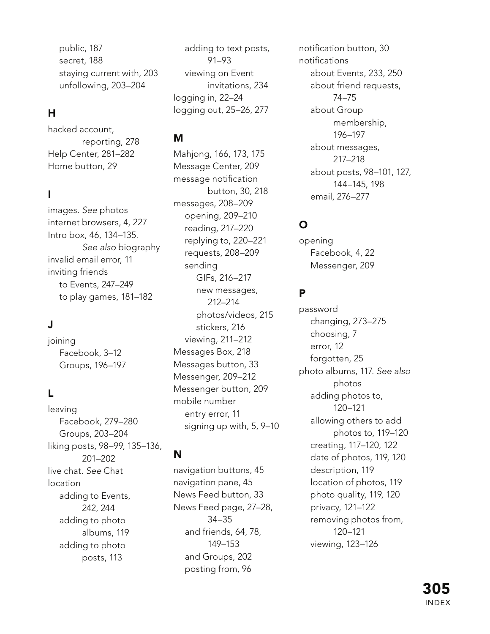public, 187 secret, 188 staying current with, 203 unfollowing, 203–204

# H

hacked account, reporting, 278 Help Center, 281–282 Home button, 29

# I

images. See photos internet browsers, 4, 227 Intro box, 46, 134–135. See also biography invalid email error, 11 inviting friends to Events, 247–249 to play games, 181–182

#### J

joining Facebook, 3–12 Groups, 196–197

# L

leaving Facebook, 279–280 Groups, 203–204 liking posts, 98–99, 135–136, 201–202 live chat. See Chat location adding to Events, 242, 244 adding to photo albums, 119 adding to photo posts, 113

adding to text posts, 91–93 viewing on Event invitations, 234 logging in, 22–24 logging out, 25–26, 277

#### M

Mahjong, 166, 173, 175 Message Center, 209 message notification button, 30, 218 messages, 208–209 opening, 209–210 reading, 217–220 replying to, 220–221 requests, 208–209 sending GIFs, 216–217 new messages, 212–214 photos/videos, 215 stickers, 216 viewing, 211–212 Messages Box, 218 Messages button, 33 Messenger, 209–212 Messenger button, 209 mobile number entry error, 11 signing up with, 5, 9–10

# N

navigation buttons, 45 navigation pane, 45 News Feed button, 33 News Feed page, 27–28, 34–35 and friends, 64, 78, 149–153 and Groups, 202 posting from, 96

notification button, 30 notifications about Events, 233, 250 about friend requests, 74–75 about Group membership, 196–197 about messages, 217–218 about posts, 98–101, 127, 144–145, 198 email, 276–277

# O

opening Facebook, 4, 22 Messenger, 209

#### P

password changing, 273–275 choosing, 7 error, 12 forgotten, 25 photo albums, 117. See also photos adding photos to, 120–121 allowing others to add photos to, 119–120 creating, 117–120, 122 date of photos, 119, 120 description, 119 location of photos, 119 photo quality, 119, 120 privacy, 121–122 removing photos from, 120–121 viewing, 123–126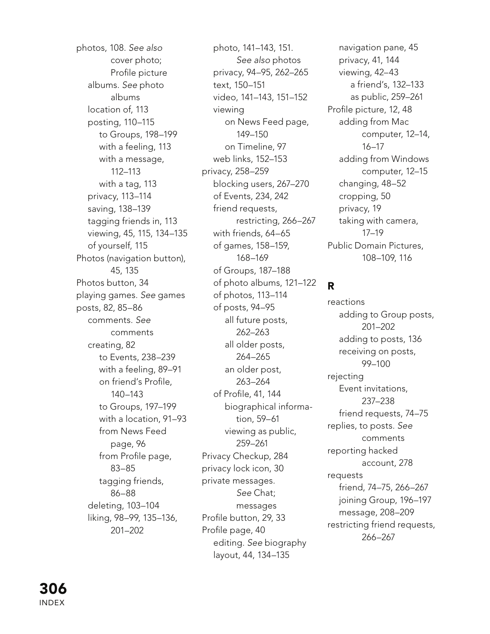photos, 108. See also cover photo; Profile picture albums. See photo albums location of, 113 posting, 110–115 to Groups, 198–199 with a feeling, 113 with a message, 112–113 with a tag, 113 privacy, 113–114 saving, 138–139 tagging friends in, 113 viewing, 45, 115, 134–135 of yourself, 115 Photos (navigation button), 45, 135 Photos button, 34 playing games. See games posts, 82, 85–86 comments. See comments creating, 82 to Events, 238–239 with a feeling, 89–91 on friend's Profile, 140–143 to Groups, 197–199 with a location, 91–93 from News Feed page, 96 from Profile page, 83–85 tagging friends, 86–88 deleting, 103–104 liking, 98–99, 135–136, 201–202

photo, 141–143, 151. See also photos privacy, 94–95, 262–265 text, 150–151 video, 141–143, 151–152 viewing on News Feed page, 149–150 on Timeline, 97 web links, 152–153 privacy, 258–259 blocking users, 267–270 of Events, 234, 242 friend requests, restricting, 266–267 with friends, 64–65 of games, 158–159, 168–169 of Groups, 187–188 of photo albums, 121–122 of photos, 113–114 of posts, 94–95 all future posts, 262–263 all older posts, 264–265 an older post, 263–264 of Profile, 41, 144 biographical information, 59–61 viewing as public, 259–261 Privacy Checkup, 284 privacy lock icon, 30 private messages. See Chat; messages Profile button, 29, 33 Profile page, 40 editing. See biography layout, 44, 134–135

navigation pane, 45 privacy, 41, 144 viewing, 42–43 a friend's, 132–133 as public, 259–261 Profile picture, 12, 48 adding from Mac computer, 12–14, 16–17 adding from Windows computer, 12–15 changing, 48–52 cropping, 50 privacy, 19 taking with camera, 17–19 Public Domain Pictures, 108–109, 116

#### R

reactions adding to Group posts, 201–202 adding to posts, 136 receiving on posts, 99–100 rejecting Event invitations, 237–238 friend requests, 74–75 replies, to posts. See comments reporting hacked account, 278 requests friend, 74–75, 266–267 joining Group, 196–197 message, 208–209 restricting friend requests, 266–267